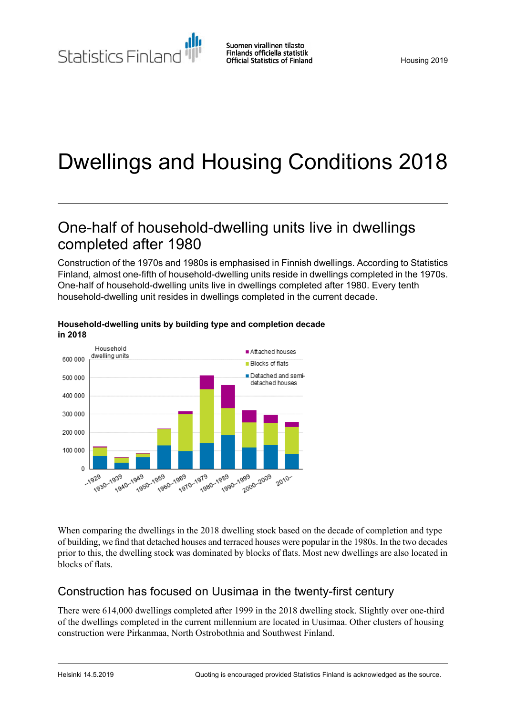Statistics Finland

# Dwellings and Housing Conditions 2018

## One-half of household-dwelling units live in dwellings completed after 1980

Construction of the 1970s and 1980s is emphasised in Finnish dwellings. According to Statistics Finland, almost one-fifth of household-dwelling units reside in dwellings completed in the 1970s. One-half of household-dwelling units live in dwellings completed after 1980. Every tenth household-dwelling unit resides in dwellings completed in the current decade.



#### **Household-dwelling units by building type and completion decade in 2018**

When comparing the dwellings in the 2018 dwelling stock based on the decade of completion and type of building, we find that detached houses and terraced houses were popular in the 1980s. In the two decades prior to this, the dwelling stock was dominated by blocks of flats. Most new dwellings are also located in blocks of flats.

### Construction has focused on Uusimaa in the twenty-first century

There were 614,000 dwellings completed after 1999 in the 2018 dwelling stock. Slightly over one-third of the dwellings completed in the current millennium are located in Uusimaa. Other clusters of housing construction were Pirkanmaa, North Ostrobothnia and Southwest Finland.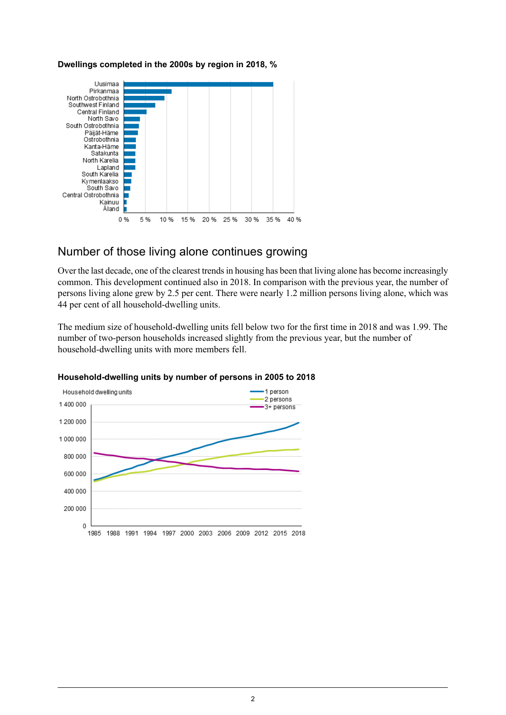#### **Dwellings completed in the 2000s by region in 2018, %**



### Number of those living alone continues growing

Over the last decade, one of the clearest trends in housing has been that living alone has become increasingly common. This development continued also in 2018. In comparison with the previous year, the number of persons living alone grew by 2.5 per cent. There were nearly 1.2 million persons living alone, which was 44 per cent of all household-dwelling units.

The medium size of household-dwelling units fell below two for the first time in 2018 and was 1.99. The number of two-person households increased slightly from the previous year, but the number of household-dwelling units with more members fell.



#### **Household-dwelling units by number of persons in 2005 to 2018**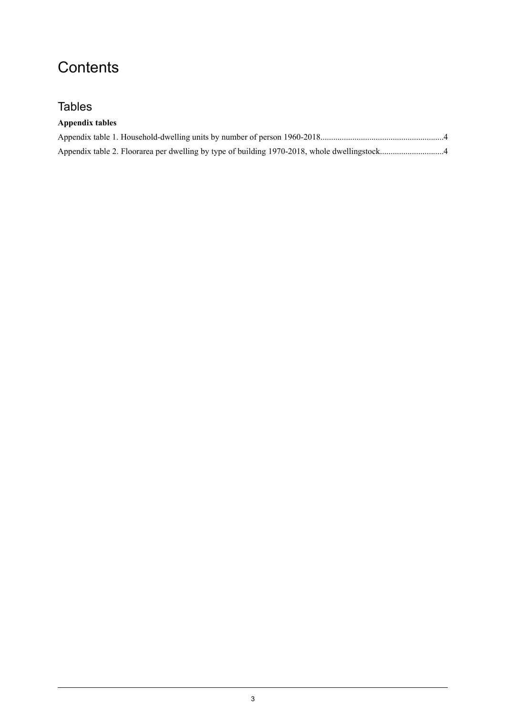# **Contents**

### Tables

| Appendix tables |  |
|-----------------|--|
|                 |  |
|                 |  |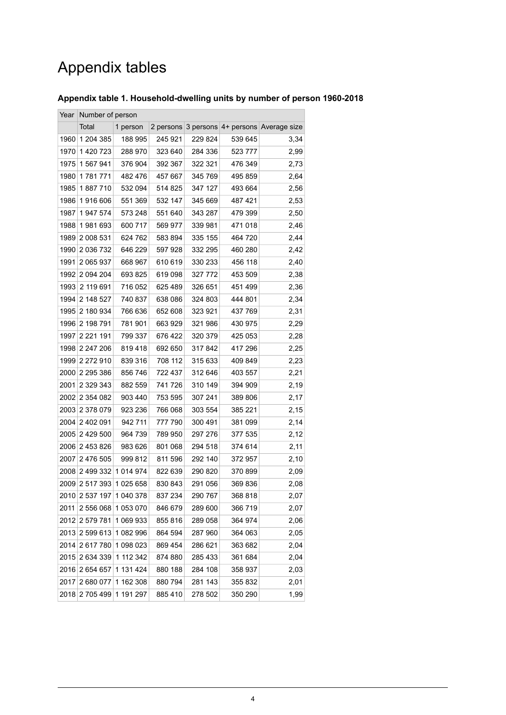# Appendix tables

### <span id="page-3-0"></span>**Appendix table 1. Household-dwelling units by number of person 1960-2018**

<span id="page-3-1"></span>

| Year | Number of person |             |         |         |         |                                             |  |  |
|------|------------------|-------------|---------|---------|---------|---------------------------------------------|--|--|
|      | Total            | 1 person    |         |         |         | 2 persons 3 persons 4+ persons Average size |  |  |
| 1960 | 1 204 385        | 188 995     | 245 921 | 229 824 | 539 645 | 3,34                                        |  |  |
| 1970 | 1420723          | 288 970     | 323 640 | 284 336 | 523 777 | 2,99                                        |  |  |
| 1975 | 1 567 941        | 376 904     | 392 367 | 322 321 | 476 349 | 2,73                                        |  |  |
| 1980 | 1781771          | 482 476     | 457 667 | 345 769 | 495 859 | 2,64                                        |  |  |
| 1985 | 1887710          | 532 094     | 514 825 | 347 127 | 493 664 | 2,56                                        |  |  |
| 1986 | 1916 606         | 551 369     | 532 147 | 345 669 | 487 421 | 2,53                                        |  |  |
| 1987 | 1947574          | 573 248     | 551 640 | 343 287 | 479 399 | 2,50                                        |  |  |
| 1988 | 1981693          | 600 717     | 569 977 | 339 981 | 471 018 | 2,46                                        |  |  |
| 1989 | 2 008 531        | 624 762     | 583 894 | 335 155 | 464 720 | 2,44                                        |  |  |
| 1990 | 2 036 732        | 646 229     | 597 928 | 332 295 | 460 280 | 2,42                                        |  |  |
| 1991 | 2 065 937        | 668 967     | 610 619 | 330 233 | 456 118 | 2,40                                        |  |  |
| 1992 | 2 0 9 4 2 0 4    | 693 825     | 619 098 | 327 772 | 453 509 | 2,38                                        |  |  |
| 1993 | 2 119 691        | 716 052     | 625 489 | 326 651 | 451 499 | 2,36                                        |  |  |
| 1994 | 2 148 527        | 740 837     | 638 086 | 324 803 | 444 801 | 2,34                                        |  |  |
| 1995 | 2 180 934        | 766 636     | 652 608 | 323 921 | 437 769 | 2,31                                        |  |  |
| 1996 | 2 198 791        | 781 901     | 663929  | 321 986 | 430 975 | 2,29                                        |  |  |
| 1997 | 2 2 2 1 1 9 1    | 799 337     | 676 422 | 320 379 | 425 053 | 2,28                                        |  |  |
| 1998 | 2 247 206        | 819418      | 692 650 | 317842  | 417 296 | 2,25                                        |  |  |
| 1999 | 2 272 910        | 839 316     | 708 112 | 315 633 | 409 849 | 2,23                                        |  |  |
| 2000 | 2 2 9 5 3 8 6    | 856 746     | 722 437 | 312 646 | 403 557 | 2,21                                        |  |  |
| 2001 | 2 3 2 3 3 4 3    | 882 559     | 741 726 | 310 149 | 394 909 | 2,19                                        |  |  |
| 2002 | 2 354 082        | 903 440     | 753 595 | 307 241 | 389 806 | 2,17                                        |  |  |
| 2003 | 2 378 079        | 923 236     | 766 068 | 303 554 | 385 221 | 2,15                                        |  |  |
|      | 2004 2 402 091   | 942 711     | 777 790 | 300 491 | 381 099 | 2,14                                        |  |  |
| 2005 | 2 429 500        | 964 739     | 789 950 | 297 276 | 377 535 | 2,12                                        |  |  |
|      | 2006 2 453 826   | 983 626     | 801 068 | 294 518 | 374 614 | 2,11                                        |  |  |
| 2007 | 2 476 505        | 999 812     | 811 596 | 292 140 | 372 957 | 2,10                                        |  |  |
| 2008 | 2 499 332        | 1 0 14 9 74 | 822 639 | 290 820 | 370 899 | 2,09                                        |  |  |
|      | 2009 2 517 393   | 1 025 658   | 830 843 | 291 056 | 369836  | 2,08                                        |  |  |
| 2010 | 2 537 197        | 1 040 378   | 837 234 | 290 767 | 368 818 | 2,07                                        |  |  |
| 2011 | 2 556 068        | 1 053 070   | 846 679 | 289 600 | 366 719 | 2,07                                        |  |  |
| 2012 | 2 579 781        | 1 069 933   | 855 816 | 289 058 | 364 974 | 2,06                                        |  |  |
| 2013 | 2 599 613        | 1 082 996   | 864 594 | 287 960 | 364 063 | 2,05                                        |  |  |
| 2014 | 2617780          | 1 098 023   | 869 454 | 286 621 | 363 682 | 2,04                                        |  |  |
| 2015 | 2 634 339        | 1 112 342   | 874 880 | 285 433 | 361 684 | 2,04                                        |  |  |
| 2016 | 2 654 657        | 1 131 424   | 880 188 | 284 108 | 358 937 | 2,03                                        |  |  |
| 2017 | 2 680 077        | 1 162 308   | 880794  | 281 143 | 355 832 | 2,01                                        |  |  |
| 2018 | 2705499          | 1 191 297   | 885 410 | 278 502 | 350 290 | 1,99                                        |  |  |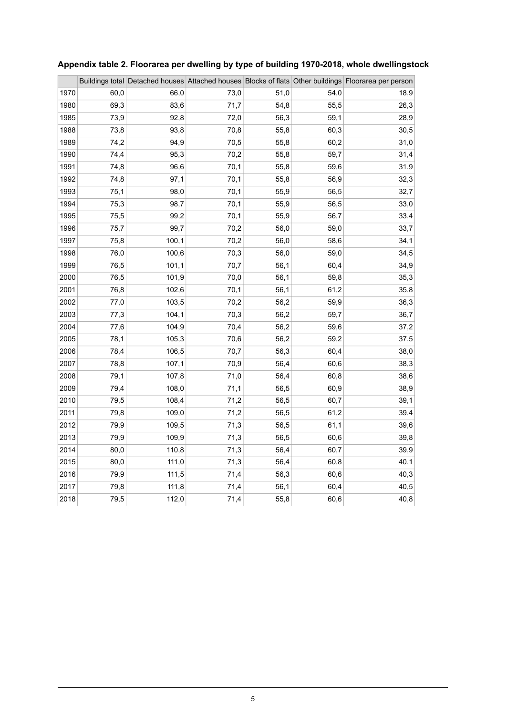|      |      |       |      |      |      | Buildings total Detached houses Attached houses Blocks of flats Other buildings Floorarea per person |
|------|------|-------|------|------|------|------------------------------------------------------------------------------------------------------|
| 1970 | 60,0 | 66,0  | 73,0 | 51,0 | 54,0 | 18,9                                                                                                 |
| 1980 | 69,3 | 83,6  | 71,7 | 54,8 | 55,5 | 26,3                                                                                                 |
| 1985 | 73,9 | 92,8  | 72,0 | 56,3 | 59,1 | 28,9                                                                                                 |
| 1988 | 73,8 | 93,8  | 70,8 | 55,8 | 60,3 | 30,5                                                                                                 |
| 1989 | 74,2 | 94,9  | 70,5 | 55,8 | 60,2 | 31,0                                                                                                 |
| 1990 | 74,4 | 95,3  | 70,2 | 55,8 | 59,7 | 31,4                                                                                                 |
| 1991 | 74,8 | 96,6  | 70,1 | 55,8 | 59,6 | 31,9                                                                                                 |
| 1992 | 74,8 | 97,1  | 70,1 | 55,8 | 56,9 | 32,3                                                                                                 |
| 1993 | 75,1 | 98,0  | 70,1 | 55,9 | 56,5 | 32,7                                                                                                 |
| 1994 | 75,3 | 98,7  | 70,1 | 55,9 | 56,5 | 33,0                                                                                                 |
| 1995 | 75,5 | 99,2  | 70,1 | 55,9 | 56,7 | 33,4                                                                                                 |
| 1996 | 75,7 | 99,7  | 70,2 | 56,0 | 59,0 | 33,7                                                                                                 |
| 1997 | 75,8 | 100,1 | 70,2 | 56,0 | 58,6 | 34,1                                                                                                 |
| 1998 | 76,0 | 100,6 | 70,3 | 56,0 | 59,0 | 34,5                                                                                                 |
| 1999 | 76,5 | 101,1 | 70,7 | 56,1 | 60,4 | 34,9                                                                                                 |
| 2000 | 76,5 | 101,9 | 70,0 | 56,1 | 59,8 | 35,3                                                                                                 |
| 2001 | 76,8 | 102,6 | 70,1 | 56,1 | 61,2 | 35,8                                                                                                 |
| 2002 | 77,0 | 103,5 | 70,2 | 56,2 | 59,9 | 36,3                                                                                                 |
| 2003 | 77,3 | 104,1 | 70,3 | 56,2 | 59,7 | 36,7                                                                                                 |
| 2004 | 77,6 | 104,9 | 70,4 | 56,2 | 59,6 | 37,2                                                                                                 |
| 2005 | 78,1 | 105,3 | 70,6 | 56,2 | 59,2 | 37,5                                                                                                 |
| 2006 | 78,4 | 106,5 | 70,7 | 56,3 | 60,4 | 38,0                                                                                                 |
| 2007 | 78,8 | 107,1 | 70,9 | 56,4 | 60,6 | 38,3                                                                                                 |
| 2008 | 79,1 | 107,8 | 71,0 | 56,4 | 60,8 | 38,6                                                                                                 |
| 2009 | 79,4 | 108,0 | 71,1 | 56,5 | 60,9 | 38,9                                                                                                 |
| 2010 | 79,5 | 108,4 | 71,2 | 56,5 | 60,7 | 39,1                                                                                                 |
| 2011 | 79,8 | 109,0 | 71,2 | 56,5 | 61,2 | 39,4                                                                                                 |
| 2012 | 79,9 | 109,5 | 71,3 | 56,5 | 61,1 | 39,6                                                                                                 |
| 2013 | 79,9 | 109,9 | 71,3 | 56,5 | 60,6 | 39,8                                                                                                 |
| 2014 | 80,0 | 110,8 | 71,3 | 56,4 | 60,7 | 39,9                                                                                                 |
| 2015 | 80,0 | 111,0 | 71,3 | 56,4 | 60,8 | 40,1                                                                                                 |
| 2016 | 79,9 | 111,5 | 71,4 | 56,3 | 60,6 | 40,3                                                                                                 |
| 2017 | 79,8 | 111,8 | 71,4 | 56,1 | 60,4 | 40,5                                                                                                 |
| 2018 | 79,5 | 112,0 | 71,4 | 55,8 | 60,6 | 40,8                                                                                                 |

### **Appendix table 2. Floorarea per dwelling by type of building 1970-2018, whole dwellingstock**